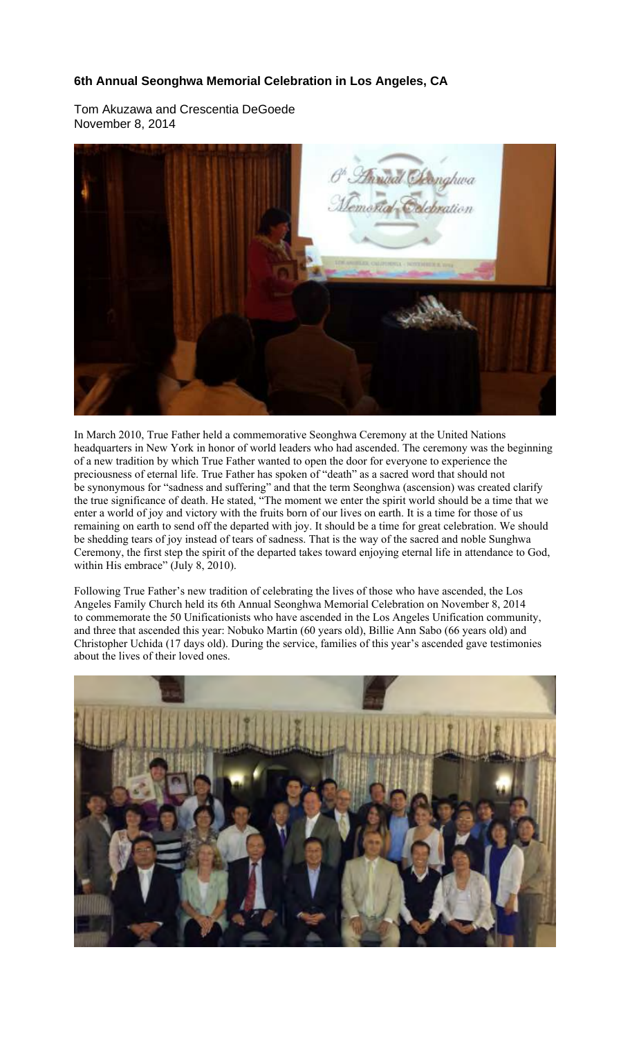## **6th Annual Seonghwa Memorial Celebration in Los Angeles, CA**

Tom Akuzawa and Crescentia DeGoede November 8, 2014



In March 2010, True Father held a commemorative Seonghwa Ceremony at the United Nations headquarters in New York in honor of world leaders who had ascended. The ceremony was the beginning of a new tradition by which True Father wanted to open the door for everyone to experience the preciousness of eternal life. True Father has spoken of "death" as a sacred word that should not be synonymous for "sadness and suffering" and that the term Seonghwa (ascension) was created clarify the true significance of death. He stated, "The moment we enter the spirit world should be a time that we enter a world of joy and victory with the fruits born of our lives on earth. It is a time for those of us remaining on earth to send off the departed with joy. It should be a time for great celebration. We should be shedding tears of joy instead of tears of sadness. That is the way of the sacred and noble Sunghwa Ceremony, the first step the spirit of the departed takes toward enjoying eternal life in attendance to God, within His embrace" (July 8, 2010).

Following True Father's new tradition of celebrating the lives of those who have ascended, the Los Angeles Family Church held its 6th Annual Seonghwa Memorial Celebration on November 8, 2014 to commemorate the 50 Unificationists who have ascended in the Los Angeles Unification community, and three that ascended this year: Nobuko Martin (60 years old), Billie Ann Sabo (66 years old) and Christopher Uchida (17 days old). During the service, families of this year's ascended gave testimonies about the lives of their loved ones.